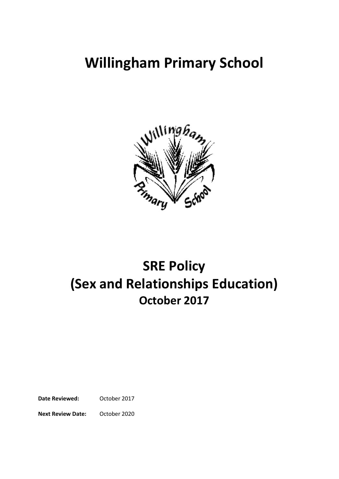# **Willingham Primary School**



# **SRE Policy (Sex and Relationships Education) October 2017**

**Date Reviewed:** October 2017

**Next Review Date:** October 2020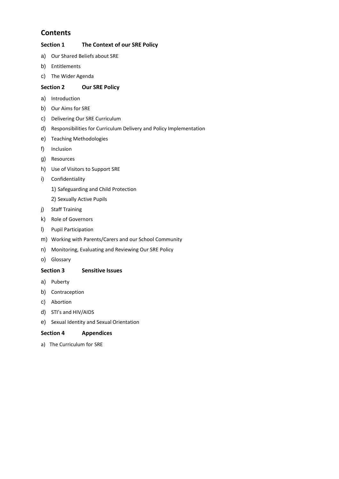### **Contents**

### **Section 1 The Context of our SRE Policy**

- a) Our Shared Beliefs about SRE
- b) Entitlements
- c) The Wider Agenda

### **Section 2 Our SRE Policy**

- a) Introduction
- b) Our Aims for SRE
- c) Delivering Our SRE Curriculum
- d) Responsibilities for Curriculum Delivery and Policy Implementation
- e) Teaching Methodologies
- f) Inclusion
- g) Resources
- h) Use of Visitors to Support SRE
- i) Confidentiality
	- 1) Safeguarding and Child Protection
	- 2) Sexually Active Pupils
- j) Staff Training
- k) Role of Governors
- l) Pupil Participation
- m) Working with Parents/Carers and our School Community
- n) Monitoring, Evaluating and Reviewing Our SRE Policy
- o) Glossary

#### **Section 3 Sensitive Issues**

- a) Puberty
- b) Contraception
- c) Abortion
- d) STI's and HIV/AIDS
- e) Sexual Identity and Sexual Orientation

#### **Section 4 Appendices**

a) The Curriculum for SRE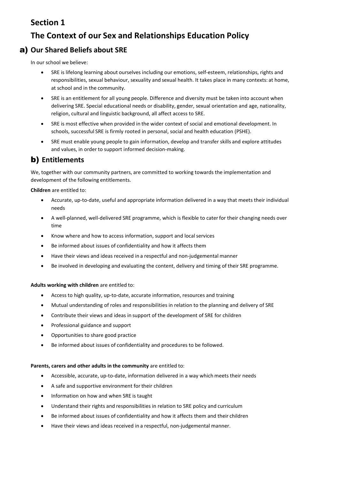# **Section 1**

# **The Context of our Sex and Relationships Education Policy**

### a) **Our Shared Beliefs about SRE**

In our school we believe:

- SRE is lifelong learning about ourselves including our emotions, self-esteem, relationships, rights and responsibilities, sexual behaviour, sexuality and sexual health. It takes place in many contexts: at home, at school and in the community.
- SRE is an entitlement for all young people. Difference and diversity must be taken into account when delivering SRE. Special educational needs or disability, gender, sexual orientation and age, nationality, religion, cultural and linguistic background, all affect access to SRE.
- SRE is most effective when provided in the wider context of social and emotional development. In schools, successful SRE is firmly rooted in personal, social and health education (PSHE).
- SRE must enable young people to gain information, develop and transfer skills and explore attitudes and values, in order to support informed decision-making.

### b) **Entitlements**

We, together with our community partners, are committed to working towards the implementation and development of the following entitlements.

**Children** are entitled to:

- Accurate, up-to-date, useful and appropriate information delivered in a way that meets their individual needs
- A well-planned, well-delivered SRE programme, which is flexible to caterfor their changing needs over time
- Know where and how to access information, support and localservices
- Be informed about issues of confidentiality and how it affects them
- Have their views and ideas received in a respectful and non-judgemental manner
- Be involved in developing and evaluating the content, delivery and timing of their SRE programme.

#### **Adults working with children** are entitled to:

- Access to high quality, up-to-date, accurate information, resources and training
- Mutual understanding of roles and responsibilities in relation to the planning and delivery of SRE
- Contribute their views and ideas in support of the development of SRE for children
- Professional guidance and support
- Opportunities to share good practice
- Be informed about issues of confidentiality and procedures to be followed.

#### **Parents, carers and other adults in the community** are entitled to:

- Accessible, accurate, up-to-date, information delivered in a way which meets their needs
- A safe and supportive environment fortheir children
- Information on how and when SRE is taught
- Understand their rights and responsibilities in relation to SRE policy and curriculum
- Be informed about issues of confidentiality and how it affects them and their children
- Have their views and ideas received in a respectful, non-judgemental manner.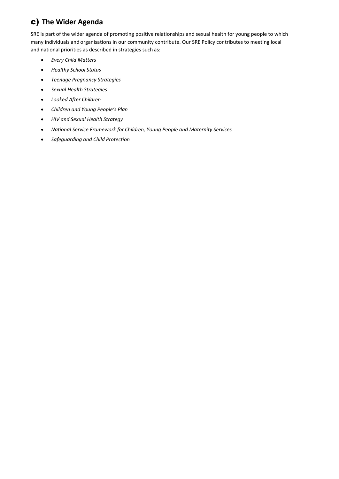# c) **The Wider Agenda**

SRE is part of the wider agenda of promoting positive relationships and sexual health for young people to which many individuals and organisations in our community contribute. Our SRE Policy contributes to meeting local and national priorities as described in strategies such as:

- *Every Child Matters*
- *Healthy School Status*
- *Teenage Pregnancy Strategies*
- *Sexual Health Strategies*
- *Looked After Children*
- *Children and Young People's Plan*
- *HIV and Sexual Health Strategy*
- *National Service Framework for Children, Young People and Maternity Services*
- *Safeguarding and Child Protection*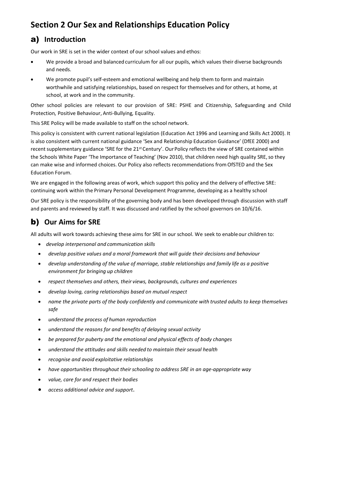# **Section 2 Our Sex and Relationships Education Policy**

# a) **Introduction**

Our work in SRE is set in the wider context of our school values and ethos:

- We provide a broad and balanced curriculum for all our pupils, which values their diverse backgrounds and needs.
- We promote pupil's self-esteem and emotional wellbeing and help them to form and maintain worthwhile and satisfying relationships, based on respect for themselves and for others, at home, at school, at work and in the community.

Other school policies are relevant to our provision of SRE: PSHE and Citizenship, Safeguarding and Child Protection*,* Positive Behaviour, Anti-Bullying*,* Equality.

This SRE Policy will be made available to staff on the school network.

This policy is consistent with current national legislation (Education Act 1996 and Learning and Skills Act 2000). It is also consistent with current national guidance 'Sex and Relationship Education Guidance' (DfEE 2000) and recent supplementary guidance 'SRE for the 21<sup>st</sup> Century'. Our Policy reflects the view of SRE contained within the Schools White Paper 'The Importance of Teaching' (Nov 2010), that children need high quality SRE, so they can make wise and informed choices. Our Policy also reflects recommendations from OfSTED and the Sex Education Forum.

We are engaged in the following areas of work, which support this policy and the delivery of effective SRE: continuing work within the Primary Personal Development Programme, developing as a healthy school

Our SRE policy is the responsibility of the governing body and has been developed through discussion with staff and parents and reviewed by staff. It was discussed and ratified by the school governors on 10/6/16.

# b) **Our Aims for SRE**

All adults will work towards achieving these aims for SRE in our school. We seek to enableour children to:

- *develop interpersonal and communication skills*
- *develop positive values and a moral framework that will guide their decisions and behaviour*
- *develop understanding of the value of marriage, stable relationships and family life as a positive environment for bringing up children*
- *respect themselves and others, their views, backgrounds, cultures and experiences*
- *develop loving, caring relationships based on mutual respect*
- *name the private parts of the body confidently and communicate with trusted adults to keep themselves safe*
- *understand the process of human reproduction*
- *understand the reasons for and benefits of delaying sexual activity*
- *be prepared for puberty and the emotional and physical effects of body changes*
- *understand the attitudes and skills needed to maintain their sexual health*
- *recognise and avoid exploitative relationships*
- *have opportunities throughout theirschooling to address SRE in an age-appropriate way*
- *value, care for and respect their bodies*
- *access additional advice and support*.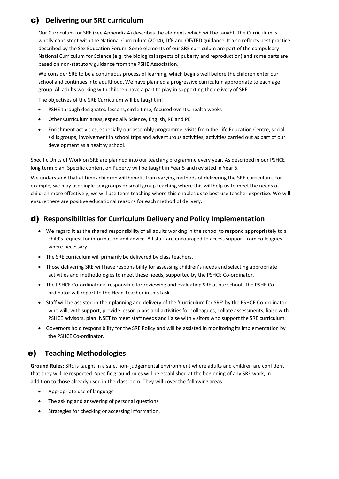# c) **Delivering our SRE curriculum**

Our Curriculum for SRE (see Appendix A) describes the elements which will be taught. The Curriculum is wholly consistent with the National Curriculum (2014), DfE and OfSTED guidance. It also reflects best practice described by the Sex Education Forum. Some elements of our SRE curriculum are part of the compulsory National Curriculum for Science (e.g. the biological aspects of puberty and reproduction) and some parts are based on non-statutory guidance from the PSHE Association.

We consider SRE to be a continuous process of learning, which begins well before the children enter our school and continues into adulthood.We have planned a progressive curriculum appropriate to each age group. All adults working with children have a part to play in supporting the delivery of SRE.

The objectives of the SRE Curriculum will be taught in:

- PSHE through designated lessons, circle time, focused events, health weeks
- Other Curriculum areas, especially Science, English, RE and PE
- Enrichment activities, especially our assembly programme, visits from the Life Education Centre, social skills groups, involvement in school trips and adventurous activities, activities carried out as part of our development as a healthy school.

Specific Units of Work on SRE are planned into our teaching programme every year. As described in our PSHCE long term plan. Specific content on Puberty will be taught in Year 5 and revisited in Year 6.

We understand that at times children will benefit from varying methods of delivering the SRE curriculum. For example, we may use single-sex groups or small group teaching where this will help us to meet the needs of children more effectively, we will use team teaching where this enables usto best use teacher expertise. We will ensure there are positive educational reasons for each method of delivery.

### d) **Responsibilities for Curriculum Delivery and Policy Implementation**

- We regard it as the shared responsibility of all adults working in the school to respond appropriately to a child's request for information and advice. All staff are encouraged to access support from colleagues where necessary.
- The SRE curriculum will primarily be delivered by class teachers.
- Those delivering SRE will have responsibility for assessing children's needs and selecting appropriate activities and methodologies to meet these needs, supported by the PSHCE Co-ordinator.
- The PSHCE Co-ordinator is responsible for reviewing and evaluating SRE at ourschool. The PSHE Coordinator will report to the Head Teacher in this task.
- Staff will be assisted in their planning and delivery of the 'Curriculum for SRE' by the PSHCE Co-ordinator who will, with support, provide lesson plans and activities for colleagues, collate assessments, liaise with PSHCE advisors, plan INSET to meet staff needs and liaise with visitors who support the SRE curriculum.
- Governors hold responsibility for the SRE Policy and will be assisted in monitoring its implementation by the PSHCE Co-ordinator.

### e) **Teaching Methodologies**

**Ground Rules:** SRE is taught in a safe, non- judgemental environment where adults and children are confident that they will be respected. Specific ground rules will be established at the beginning of any SRE work, in addition to those already used in the classroom. They will coverthe following areas:

- Appropriate use of language
- The asking and answering of personal questions
- Strategies for checking or accessing information.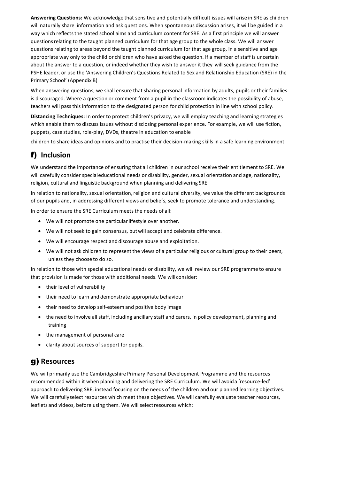**Answering Questions:** We acknowledge that sensitive and potentially difficult issues will arise in SRE as children will naturally share information and ask questions. When spontaneous discussion arises, it will be guided in a way which reflectsthe stated school aims and curriculum content for SRE. As a first principle we will answer questionsrelating to the taught planned curriculum for that age group to the whole class. We will answer questions relating to areas beyond the taught planned curriculum for that age group, in a sensitive and age appropriate way only to the child or children who have asked the question. If a member of staff is uncertain about the answer to a question, or indeed whether they wish to answer it they will seek guidance from the PSHE leader, or use the 'Answering Children's Questions Related to Sex and Relationship Education (SRE) in the Primary School' (Appendix B)

When answering questions, we shall ensure that sharing personal information by adults, pupils or their families is discouraged. Where a question or comment from a pupil in the classroom indicates the possibility of abuse, teachers will passthis information to the designated person for child protection in line with school policy.

**Distancing Techniques:** In order to protect children's privacy, we will employ teaching and learning strategies which enable them to discuss issues without disclosing personal experience. For example, we will use fiction, puppets, case studies, role-play, DVDs, theatre in education to enable

children to share ideas and opinions and to practise their decision-making skills in a safe learning environment.

# f) **Inclusion**

We understand the importance of ensuring that all children in our school receive their entitlement to SRE. We will carefully consider specialeducational needs or disability, gender, sexual orientation and age, nationality, religion, cultural and linguistic background when planning and delivering SRE.

In relation to nationality, sexual orientation, religion and cultural diversity, we value the different backgrounds of our pupils and, in addressing different views and beliefs, seek to promote tolerance and understanding.

In order to ensure the SRE Curriculum meets the needs of all:

- We will not promote one particularlifestyle over another.
- We will not seek to gain consensus, butwill accept and celebrate difference.
- We will encourage respect anddiscourage abuse and exploitation.
- We will not ask children to representthe views of a particular religious or cultural group to their peers, unless they choose to do so.

In relation to those with special educational needs or disability, we will review our SRE programme to ensure that provision is made for those with additional needs. We will consider:

- their level of vulnerability
- their need to learn and demonstrate appropriate behaviour
- their need to develop self-esteem and positive body image
- the need to involve all staff, including ancillary staff and carers, in policy development, planning and training
- the management of personal care
- clarity about sources of support for pupils.

# g) **Resources**

We will primarily use the Cambridgeshire Primary Personal Development Programme and the resources recommended within it when planning and delivering the SRE Curriculum. We will avoida 'resource-led' approach to delivering SRE, instead focusing on the needs of the children and our planned learning objectives. We will carefullyselect resources which meet these objectives. We will carefully evaluate teacher resources, leaflets and videos, before using them. We will selectresources which: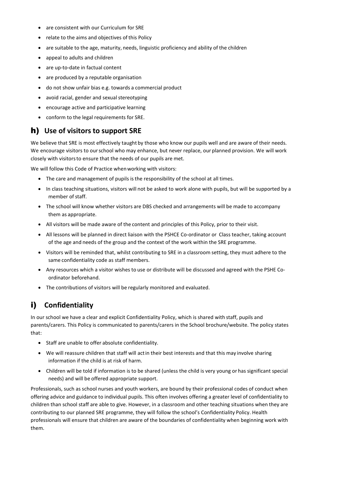- are consistent with our Curriculum for SRE
- relate to the aims and objectives of this Policy
- are suitable to the age, maturity, needs, linguistic proficiency and ability of the children
- appeal to adults and children
- are up-to-date in factual content
- are produced by a reputable organisation
- do not show unfair bias e.g. towards a commercial product
- avoid racial, gender and sexual stereotyping
- encourage active and participative learning
- conform to the legal requirements for SRE.

### h) **Use of visitors to support SRE**

We believe that SRE is most effectively taught by those who know our pupils well and are aware of their needs. We encourage visitors to ourschool who may enhance, but never replace, our planned provision. We will work closely with visitorsto ensure that the needs of our pupils are met.

We will follow this Code of Practice when working with visitors:

- The care and management of pupils is the responsibility of the school at all times.
- In class teaching situations, visitors will not be asked to work alone with pupils, but will be supported by a member of staff.
- The school will know whether visitors are DBS checked and arrangements will be made to accompany them as appropriate.
- All visitors will be made aware of the content and principles of this Policy, prior to their visit.
- All lessons will be planned in direct liaison with the PSHCE Co-ordinator or Class teacher, taking account of the age and needs of the group and the context of the work within the SRE programme.
- Visitors will be reminded that, whilst contributing to SRE in a classroom setting, they must adhere to the same confidentiality code as staff members.
- Any resources which a visitor wishes to use or distribute will be discussed and agreed with the PSHE Coordinator beforehand.
- The contributions of visitors will be regularly monitored and evaluated.

### i) **Confidentiality**

In our school we have a clear and explicit Confidentiality Policy, which is shared with staff, pupils and parents/carers. This Policy is communicated to parents/carers in the School brochure/website. The policy states that:

- Staff are unable to offer absolute confidentiality.
- We will reassure children that staff will actin their best interests and that this may involve sharing information if the child is at risk of harm.
- Children will be told if information is to be shared (unless the child is very young or has significant special needs) and will be offered appropriate support.

Professionals, such as school nurses and youth workers, are bound by their professional codes of conduct when offering advice and guidance to individual pupils. This often involves offering a greater level of confidentiality to children than school staff are able to give. However, in a classroom and other teaching situations when they are contributing to our planned SRE programme, they will follow the school's Confidentiality Policy. Health professionals will ensure that children are aware of the boundaries of confidentiality when beginning work with them.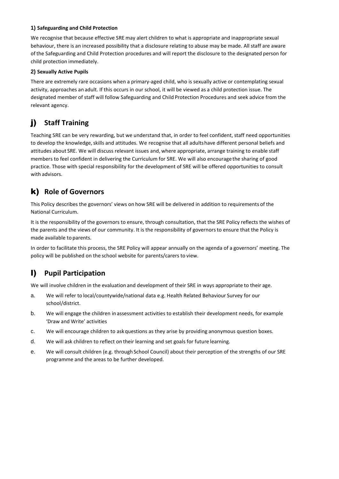#### **1) Safeguarding and Child Protection**

We recognise that because effective SRE may alert children to what is appropriate and inappropriate sexual behaviour, there is an increased possibility that a disclosure relating to abuse may be made. All staff are aware of the Safeguarding and Child Protection procedures and will report the disclosure to the designated person for child protection immediately.

#### **2) Sexually Active Pupils**

There are extremely rare occasions when a primary-aged child, who is sexually active or contemplating sexual activity, approaches an adult. If this occurs in our school, it will be viewed as a child protection issue. The designated member of staff will follow Safeguarding and Child Protection Procedures and seek advice from the relevant agency.

# j) **Staff Training**

Teaching SRE can be very rewarding, but we understand that, in order to feel confident, staff need opportunities to develop the knowledge, skills and attitudes. We recognise that all adults have different personal beliefs and attitudes about SRE. We will discuss relevant issues and, where appropriate, arrange training to enable staff members to feel confident in delivering the Curriculum for SRE. We will also encouragethe sharing of good practice. Those with special responsibility for the development of SRE will be offered opportunities to consult with advisors.

# k) **Role of Governors**

This Policy describes the governors' views on how SRE will be delivered in addition to requirements of the National Curriculum.

It is the responsibility of the governors to ensure, through consultation, that the SRE Policy reflects the wishes of the parents and the views of our community. It is the responsibility of governorsto ensure that the Policy is made available to parents.

In order to facilitate this process, the SRE Policy will appear annually on the agenda of a governors' meeting. The policy will be published on the school website for parents/carers to view.

# l) **Pupil Participation**

We will involve children in the evaluation and development of their SRE in ways appropriate to their age.

- a. We will refer to local/countywide/national data e.g. Health Related Behaviour Survey for our school/district.
- b. We will engage the children in assessment activities to establish their development needs, for example 'Draw and Write' activities
- c. We will encourage children to askquestions as they arise by providing anonymous question boxes.
- d. We will ask children to reflect on their learning and set goals for future learning.
- e. We will consult children (e.g. through School Council) about their perception of the strengths of our SRE programme and the areas to be further developed.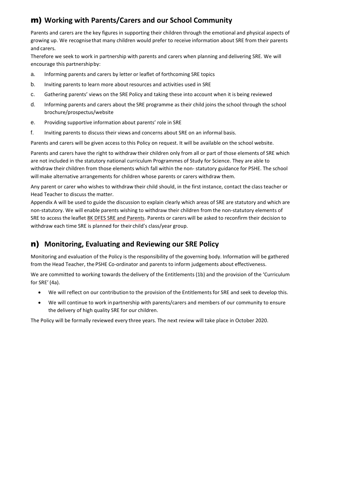# m) **Working with Parents/Carers and our School Community**

Parents and carers are the key figures in supporting their children through the emotional and physical aspects of growing up. We recognisethat many children would prefer to receive information about SRE from their parents and carers.

Therefore we seek to work in partnership with parents and carers when planning and delivering SRE. We will encourage this partnershipby:

- a. Informing parents and carers by letter or leaflet of forthcoming SRE topics
- b. Inviting parents to learn more about resources and activities used in SRE
- c. Gathering parents' views on the SRE Policy and taking these into account when it is being reviewed
- d. Informing parents and carers about the SRE programme as their child joins the school through the school brochure/prospectus/website
- e. Providing supportive information about parents' role in SRE
- f. Inviting parents to discuss their views and concerns about SRE on an informal basis.

Parents and carers will be given access to this Policy on request. It will be available on the school website.

Parents and carers have the right to withdraw their children only from all or part of those elements of SRE which are not included in the statutory national curriculum Programmes of Study for Science. They are able to withdraw their children from those elements which fall within the non- statutory guidance for PSHE. The school will make alternative arrangements for children whose parents or carers withdraw them.

Any parent or carer who wishes to withdraw their child should, in the first instance, contact the class teacher or Head Teacher to discuss the matter.

Appendix A will be used to guide the discussion to explain clearly which areas of SRE are statutory and which are non-statutory. We will enable parents wishing to withdraw their children from the non-statutory elements of SRE to access the leaflet [8K DFES SRE and Parents.](http://www.cambridgeshirepshe.org.uk/SRE/8KDFESSREAndParents.pdf) Parents or carers will be asked to reconfirm their decision to withdraw each time SRE is planned for their child's class/year group.

### n) **Monitoring, Evaluating and Reviewing our SRE Policy**

Monitoring and evaluation of the Policy is the responsibility of the governing body. Information will be gathered from the Head Teacher, the PSHE Co-ordinator and parents to inform judgements about effectiveness.

We are committed to working towards the delivery of the Entitlements (1b) and the provision of the 'Curriculum for SRE' (4a).

- We will reflect on our contribution to the provision of the Entitlements for SRE and seek to develop this.
- We will continue to work inpartnership with parents/carers and members of our community to ensure the delivery of high quality SRE for our children.

The Policy will be formally reviewed every three years. The next review will take place in October 2020.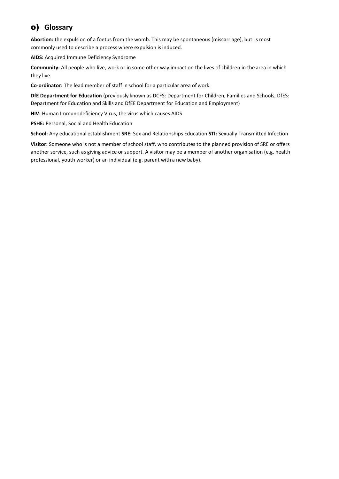# o) **Glossary**

**Abortion:** the expulsion of a foetus from the womb. This may be spontaneous (miscarriage), but is most commonly used to describe a process where expulsion is induced.

**AIDS:** Acquired Immune Deficiency Syndrome

**Community:** All people who live, work or in some other way impact on the lives of children in the area in which they live.

**Co-ordinator:** The lead member of staff in school for a particular area of work.

**DfE Department for Education** (previously known as DCFS: Department for Children, Families and Schools, DfES: Department for Education and Skills and DfEE Department for Education and Employment)

**HIV:** Human Immunodeficiency Virus, the virus which causes AIDS

**PSHE:** Personal, Social and Health Education

**School:** Any educational establishment **SRE:** Sex and Relationships Education **STI:** Sexually Transmitted Infection

Visitor: Someone who is not a member of school staff, who contributes to the planned provision of SRE or offers another service, such as giving advice or support. A visitor may be a member of another organisation (e.g. health professional, youth worker) or an individual (e.g. parent with a new baby).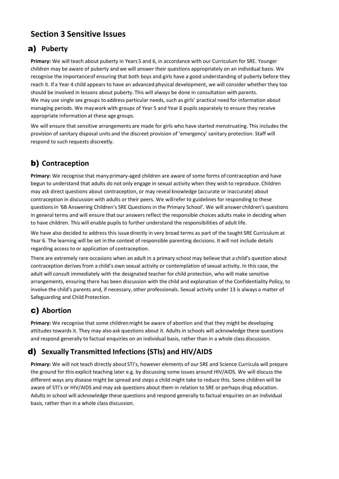# **Section 3 Sensitive Issues**

# a) **Puberty**

**Primary:** We will teach about puberty in Years 5 and 6, in accordance with our Curriculum for SRE. Younger children may be aware of puberty and we will answer their questions appropriately on an individual basis. We recognise the importanceof ensuring that both boys and girls have a good understanding of puberty before they reach it. If a Year 4 child appears to have an advanced physical development, we will consider whether they too should be involved in lessons about puberty. This will always be done in consultation with parents. We may use single sex groups to address particular needs, such as girls' practical need for information about managing periods. We maywork with groups of Year 5 and Year 6 pupilsseparately to ensure they receive appropriate information at these age groups.

We will ensure that sensitive arrangements are made for girls who have started menstruating. This includes the provision of sanitary disposal units and the discreet provision of 'emergency' sanitary protection. Staff will respond to such requests discreetly.

# b) **Contraception**

**Primary:** We recognise that many primary-aged children are aware of some forms of contraception and have begun to understand that adults do not only engage in sexual activity when they wish to reproduce. Children may ask direct questions about contraception, or may reveal knowledge (accurate or inaccurate) about contraception in discussion with adults or their peers. We willrefer to guidelines for responding to these questionsin *'*6B [Answering Children's SRE Questions in](http://www.cambridgeshirepshe.org.uk/SRE/6BAnsweringSREQuestionsPrimary.pdf) the [Primary School'](http://www.cambridgeshirepshe.org.uk/SRE/6BAnsweringSREQuestionsPrimary.pdf)*.* We will answer children's questions in general terms and will ensure that our answers reflect the responsible choices adults make in deciding when to have children. This will enable pupils to further understand the responsibilities of adult life.

We have also decided to address this issuedirectly in very broad terms as part of the taught SRE Curriculum at Year 6. The learning will be set in the context of responsible parenting decisions. It will not include details regarding access to or application of contraception.

There are extremely rare occasions when an adult in a primary school may believe that a child's question about contraception derives from a child's own sexual activity or contemplation ofsexual activity. In this case, the adult will consult immediately with the designated teacher for child protection, who will make sensitive arrangements, ensuring there has been discussion with the child and explanation of the Confidentiality Policy, to involve the child's parents and, if necessary, other professionals. Sexual activity under 13 is always a matter of Safeguarding and Child Protection.

# c) **Abortion**

Primary: We recognise that some children might be aware of abortion and that they might be developing attitudes towards it. They may also ask questions about it. Adults in schools will acknowledge these questions and respond generally to factual enquiries on an individual basis, rather than in a whole class discussion*.*

# d) **Sexually Transmitted Infections (STIs) and HIV/AIDS**

**Primary:** We will not teach directly about STI's, however elements of our SRE and Science Curricula will prepare the ground for this explicit teaching later e.g. by discussing some issues around HIV/AIDS. We will discuss the different ways any disease might be spread and steps a child might take to reduce this. Some children will be aware of STI's or HIV/AIDS and may ask questions about them in relation to SRE or perhaps drug education. Adults in school will acknowledge these questions and respond generally to factual enquiries on an individual basis, rather than in a whole class discussion.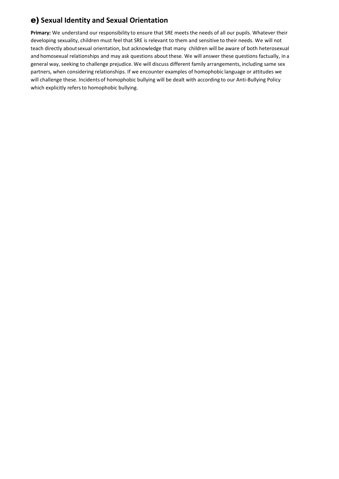# e) **Sexual Identity and Sexual Orientation**

**Primary:** We understand our responsibility to ensure that SRE meets the needs of all our pupils. Whatever their developing sexuality, children must feel that SRE is relevant to them and sensitive to their needs. We will not teach directly aboutsexual orientation, but acknowledge that many children will be aware of both heterosexual and homosexual relationships and may ask questions about these. We will answer these questions factually, in a general way, seeking to challenge prejudice. We will discuss different family arrangements, including same sex partners, when considering relationships. If we encounter examples of homophobic language or attitudes we will challenge these. Incidents of homophobic bullying will be dealt with according to our Anti-Bullying Policy which explicitly refers to homophobic bullying.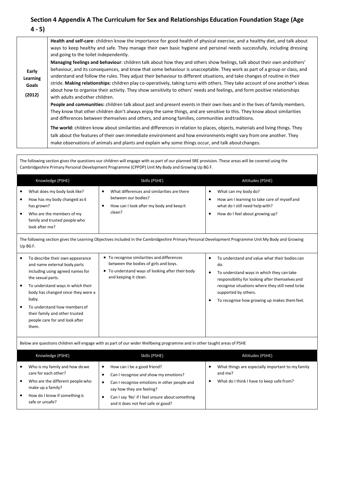### **Section 4 Appendix A The Curriculum for Sex and Relationships Education Foundation Stage (Age 4 - 5)**

| Early<br>Learning<br>Goals<br>(2012) | Health and self-care: children know the importance for good health of physical exercise, and a healthy diet, and talk about<br>ways to keep healthy and safe. They manage their own basic hygiene and personal needs successfully, including dressing<br>and going to the toilet independently.<br>Managing feelings and behaviour: children talk about how they and others show feelings, talk about their own and others'<br>behaviour, and its consequences, and know that some behaviour is unacceptable. They work as part of a group or class, and<br>understand and follow the rules. They adjust their behaviour to different situations, and take changes of routine in their<br>stride. Making relationships: children play co-operatively, taking turns with others. They take account of one another's ideas<br>about how to organise their activity. They show sensitivity to others' needs and feelings, and form positive relationships<br>with adults and other children.<br>People and communities: children talk about past and present events in their own lives and in the lives of family members.<br>They know that other children don't always enjoy the same things, and are sensitive to this. They know about similarities<br>and differences between themselves and others, and among families, communities and traditions.<br>The world: children know about similarities and differences in relation to places, objects, materials and living things. They<br>talk about the features of their own immediate environment and how environments might vary from one another. They<br>make observations of animals and plants and explain why some things occur, and talk about changes. |
|--------------------------------------|--------------------------------------------------------------------------------------------------------------------------------------------------------------------------------------------------------------------------------------------------------------------------------------------------------------------------------------------------------------------------------------------------------------------------------------------------------------------------------------------------------------------------------------------------------------------------------------------------------------------------------------------------------------------------------------------------------------------------------------------------------------------------------------------------------------------------------------------------------------------------------------------------------------------------------------------------------------------------------------------------------------------------------------------------------------------------------------------------------------------------------------------------------------------------------------------------------------------------------------------------------------------------------------------------------------------------------------------------------------------------------------------------------------------------------------------------------------------------------------------------------------------------------------------------------------------------------------------------------------------------------------------------------------------------------------------------------------------|
|--------------------------------------|--------------------------------------------------------------------------------------------------------------------------------------------------------------------------------------------------------------------------------------------------------------------------------------------------------------------------------------------------------------------------------------------------------------------------------------------------------------------------------------------------------------------------------------------------------------------------------------------------------------------------------------------------------------------------------------------------------------------------------------------------------------------------------------------------------------------------------------------------------------------------------------------------------------------------------------------------------------------------------------------------------------------------------------------------------------------------------------------------------------------------------------------------------------------------------------------------------------------------------------------------------------------------------------------------------------------------------------------------------------------------------------------------------------------------------------------------------------------------------------------------------------------------------------------------------------------------------------------------------------------------------------------------------------------------------------------------------------------|

The following section gives the questions our children will engage with as part of our planned SRE provision. These areas will be covered using the Cambridgeshire Primary Personal Development Programme (CPPDP) Unit My Body and Growing Up BG F. Knowledge (PSHE) Skills (PSHE) Skills (PSHE) Skills (PSHE) Attitudes (PSHE) What does my body look like? How has my body changed as it has grown? Who are the members ofmy family and trusted people who look after me? What differences and similarities are there between our bodies? How can I look after my body and keepit clean? What can my body do? How am I learning to take care of myself and what do I still need help with? How do I feel about growing up? The following section gives the Learning Objectives included in the Cambridgeshire Primary Personal Development Programme Unit My Body and Growing Up BGF. To describe their own appearance and name external body parts including using agreed names for the sexual parts. To understand ways in which their body has changed since they were a baby. To understand how members of their family and other trusted people care for and look after them. To recognise similarities and differences between the bodies of girls and boys. To understand ways of looking after their body and keeping it clean. To understand and value what their bodies can do. To understand ways in which they can take responsibility for looking after themselves and recognise situations where they still need tobe supported by others. To recognise how growing up makes themfeel. Below are questions children will engage with as part of our wider Wellbeing programme and in other taught areas of PSHE Knowledge (PSHE) Skills (PSHE) Skills (PSHE) Skills (PSHE) Skills (PSHE) Attitudes (PSHE) Who is my family and how dowe care for each other? Who are the different people who make up a family? How do I know if something is safe or unsafe? How can I be a good friend? Can I recognise and show my emotions? Can I recognise emotions in other people and say how they are feeling? • Can I say 'No' if I feel unsure about something and it does not feel safe or good? What things are especially important to my family and me? What do I think I have to keep safe from?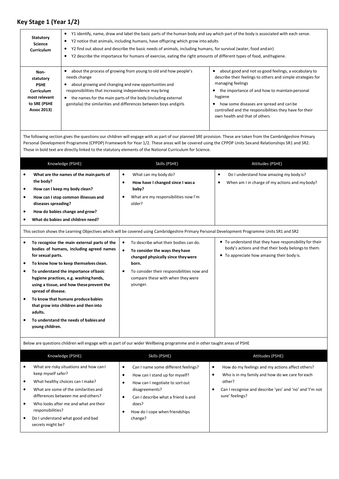# **Key Stage 1 (Year 1/2)**

| <b>Statutory</b><br><b>Science</b><br><b>Curriculum</b>                                                      | Y1 identify, name, draw and label the basic parts of the human body and say which part of the body is associated with each sense.<br>Y2 notice that animals, including humans, have offspring which grow into adults<br>٠<br>Y2 find out about and describe the basic needs of animals, including humans, for survival (water, food and air)<br>٠<br>Y2 describe the importance for humans of exercise, eating the right amounts of different types of food, and hygiene. |                                                                                                                                                                                                                                                                                                                                              |  |
|--------------------------------------------------------------------------------------------------------------|---------------------------------------------------------------------------------------------------------------------------------------------------------------------------------------------------------------------------------------------------------------------------------------------------------------------------------------------------------------------------------------------------------------------------------------------------------------------------|----------------------------------------------------------------------------------------------------------------------------------------------------------------------------------------------------------------------------------------------------------------------------------------------------------------------------------------------|--|
| Non-<br>statutory<br><b>PSHE</b><br><b>Curriculum</b><br>most relevant<br>to SRE (PSHE<br><b>Assoc 2013)</b> | about the process of growing from young to old and how people's<br>٠<br>needs change<br>about growing and changing and new opportunities and<br>٠<br>responsibilities that increasing independence may bring<br>the names for the main parts of the body (including external<br>٠<br>genitalia) the similarities and differences between boys and girls                                                                                                                   | about good and not so good feelings, a vocabulary to<br>describe their feelings to others and simple strategies for<br>managing feelings<br>the importance of and how to maintain personal<br>hygiene<br>how some diseases are spread and can be<br>controlled and the responsibilities they have for their<br>own health and that of others |  |

The following section gives the questions our children will engage with as part of our planned SRE provision. These are taken from the Cambridgeshire Primary Personal Development Programme (CPPDP) Framework for Year 1/2. These areas will be covered using the CPPDP Units Sexand Relationships SR1 and SR2. Those in bold text are directly linked to the statutory elements of the National Curriculum for Science.

| Knowledge (PSHE)                                                                                                                                                                                                                                                                                                                                                                                                                                                                                                      | Skills (PSHE)                                                                                                                                                                                                                                                               | Attitudes (PSHE)                                                                                                                                                                                                                    |
|-----------------------------------------------------------------------------------------------------------------------------------------------------------------------------------------------------------------------------------------------------------------------------------------------------------------------------------------------------------------------------------------------------------------------------------------------------------------------------------------------------------------------|-----------------------------------------------------------------------------------------------------------------------------------------------------------------------------------------------------------------------------------------------------------------------------|-------------------------------------------------------------------------------------------------------------------------------------------------------------------------------------------------------------------------------------|
| What are the names of the main parts of<br>$\bullet$<br>the body?<br>How can I keep my body clean?<br>٠<br>How can I stop common illnesses and<br>٠<br>diseases spreading?<br>How do babies change and grow?<br>٠<br>What do babies and children need?                                                                                                                                                                                                                                                                | What can my body do?<br>$\bullet$<br>How have I changed since I was a<br>$\bullet$<br>baby?<br>What are my responsibilities now I'm<br>older?                                                                                                                               | Do I understand how amazing my body is?<br>$\bullet$<br>When am I in charge of my actions and my body?<br>٠                                                                                                                         |
| This section shows the Learning Objectives which will be covered using Cambridgeshire Primary Personal Development Programme Units SR1 and SR2                                                                                                                                                                                                                                                                                                                                                                        |                                                                                                                                                                                                                                                                             |                                                                                                                                                                                                                                     |
| $\bullet$<br>To recognise the main external parts of the<br>bodies of humans, including agreed names<br>for sexual parts.<br>To know how to keep themselves clean.<br>$\bullet$<br>To understand the importance of basic<br>$\bullet$<br>hygiene practices, e.g. washing hands,<br>using a tissue, and how these prevent the<br>spread of disease.<br>To know that humans produce babies<br>$\bullet$<br>that grow into children and then into<br>adults.<br>To understand the needs of babies and<br>young children. | To describe what their bodies can do.<br>$\bullet$<br>$\bullet$<br>To consider the ways they have<br>changed physically since they were<br>born.<br>To consider their responsibilities now and<br>$\bullet$<br>compare these with when they were<br>younger.                | • To understand that they have responsibility for their<br>body's actions and that their body belongs to them.<br>• To appreciate how amasing their body is.                                                                        |
| Below are questions children will engage with as part of our wider Wellbeing programme and in other taught areas of PSHE                                                                                                                                                                                                                                                                                                                                                                                              |                                                                                                                                                                                                                                                                             |                                                                                                                                                                                                                                     |
| Knowledge (PSHE)                                                                                                                                                                                                                                                                                                                                                                                                                                                                                                      | Skills (PSHE)                                                                                                                                                                                                                                                               | Attitudes (PSHE)                                                                                                                                                                                                                    |
| What are risky situations and how can I<br>$\bullet$<br>keep myself safer?<br>What healthy choices can I make?<br>$\bullet$<br>What are some of the similarities and<br>$\bullet$<br>differences between me and others?<br>Who looks after me and what are their<br>$\bullet$<br>responsibilities?<br>Do I understand what good and bad<br>$\bullet$<br>secrets might be?                                                                                                                                             | Can I name some different feelings?<br>$\bullet$<br>$\bullet$<br>How can I stand up for myself?<br>How can I negotiate to sort out<br>$\bullet$<br>disagreements?<br>Can I describe what a friend is and<br>$\bullet$<br>does?<br>How do I cope when friendships<br>change? | How do my feelings and my actions affect others?<br>$\bullet$<br>$\bullet$<br>Who is in my family and how do we care for each<br>other?<br>Can I recognise and describe 'yes' and 'no' and 'I'm not<br>$\bullet$<br>sure' feelings? |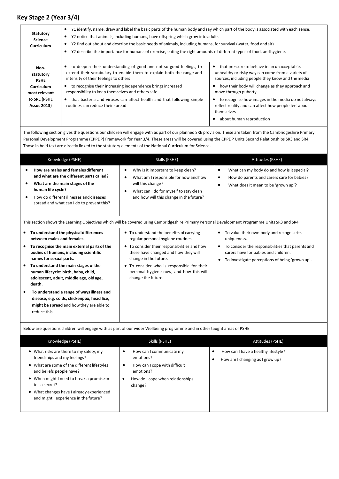### **Key Stage 2 (Year 3/4)**

| Statutory<br><b>Science</b><br><b>Curriculum</b>                       | Y1 identify, name, draw and label the basic parts of the human body and say which part of the body is associated with each sense.<br>Y2 notice that animals, including humans, have offspring which grow into adults<br>٠<br>Y2 find out about and describe the basic needs of animals, including humans, for survival (water, food and air)<br>Y2 describe the importance for humans of exercise, eating the right amounts of different types of food, and hygiene. |                                                                                                                                                                                                                                  |  |
|------------------------------------------------------------------------|----------------------------------------------------------------------------------------------------------------------------------------------------------------------------------------------------------------------------------------------------------------------------------------------------------------------------------------------------------------------------------------------------------------------------------------------------------------------|----------------------------------------------------------------------------------------------------------------------------------------------------------------------------------------------------------------------------------|--|
| Non-<br>statutory<br><b>PSHE</b><br><b>Curriculum</b><br>most relevant | to deepen their understanding of good and not so good feelings, to<br>٠<br>extend their vocabulary to enable them to explain both the range and<br>intensity of their feelings to others<br>to recognise their increasing independence brings increased<br>responsibility to keep themselves and others safe                                                                                                                                                         | that pressure to behave in an unacceptable,<br>unhealthy or risky way can come from a variety of<br>sources, including people they know and the media<br>how their body will change as they approach and<br>move through puberty |  |
| to SRE (PSHE<br><b>Assoc 2013)</b>                                     | that bacteria and viruses can affect health and that following simple<br>$\bullet$<br>routines can reduce their spread                                                                                                                                                                                                                                                                                                                                               | to recognise how images in the media do not always<br>reflect reality and can affect how people feel about<br>themselves<br>about human reproduction                                                                             |  |

The following section gives the questions our children will engage with as part of our planned SRE provision. These are taken from the Cambridgeshire Primary Personal Development Programme (CPPDP) Framework for Year 3/4. These areas will be covered using the CPPDP Units Sexand Relationships SR3 and SR4. Those in bold text are directly linked to the statutory elements of the National Curriculum for Science.

| Knowledge (PSHE)                                                                                                                                                                                                                                                                                                                                                                                                                                                                      | Skills (PSHE)                                                                                                                                                                                                                                                                                                  | Attitudes (PSHE)                                                                                                                                                                                                           |
|---------------------------------------------------------------------------------------------------------------------------------------------------------------------------------------------------------------------------------------------------------------------------------------------------------------------------------------------------------------------------------------------------------------------------------------------------------------------------------------|----------------------------------------------------------------------------------------------------------------------------------------------------------------------------------------------------------------------------------------------------------------------------------------------------------------|----------------------------------------------------------------------------------------------------------------------------------------------------------------------------------------------------------------------------|
| How are males and females different<br>and what are the different parts called?<br>What are the main stages of the<br>human life cycle?<br>How do different illnesses and diseases<br>spread and what can I do to prevent this?                                                                                                                                                                                                                                                       | Why is it important to keep clean?<br>$\bullet$<br>What am I responsible for now and how<br>$\bullet$<br>will this change?<br>What can I do for myself to stay clean<br>$\bullet$<br>and how will this change in the future?                                                                                   | What can my body do and how is it special?<br>٠<br>How do parents and carers care for babies?<br>$\bullet$<br>What does it mean to be 'grown up'?<br>٠                                                                     |
| This section shows the Learning Objectives which will be covered using Cambridgeshire Primary Personal Development Programme Units SR3 and SR4                                                                                                                                                                                                                                                                                                                                        |                                                                                                                                                                                                                                                                                                                |                                                                                                                                                                                                                            |
| To understand the physical differences<br>between males and females.<br>To recognise the main external parts of the<br>bodies of humans, including scientific<br>names for sexual parts.<br>To understand the main stages of the<br>human lifecycle: birth, baby, child,<br>adolescent, adult, middle age, old age,<br>death.<br>To understand a range of ways illness and<br>disease, e.g. colds, chickenpox, head lice,<br>might be spread and how they are able to<br>reduce this. | • To understand the benefits of carrying<br>regular personal hygiene routines.<br>• To consider their responsibilities and how<br>these have changed and how they will<br>change in the future.<br>• To consider who is responsible for their<br>personal hygiene now, and how this will<br>change the future. | To value their own body and recognise its<br>$\bullet$<br>uniqueness.<br>To consider the responsibilities that parents and<br>٠<br>carers have for babies and children.<br>To investigate perceptions of being 'grown up'. |

Below are questions children will engage with as part of our wider Wellbeing programme and in other taught areas of PSHE

| Knowledge (PSHE)                                                                                                                                                                                                                                                                                        | Skills (PSHE)                                                                                                                      | Attitudes (PSHE)                                                       |
|---------------------------------------------------------------------------------------------------------------------------------------------------------------------------------------------------------------------------------------------------------------------------------------------------------|------------------------------------------------------------------------------------------------------------------------------------|------------------------------------------------------------------------|
| • What risks are there to my safety, my<br>friendships and my feelings?<br>• What are some of the different lifestyles<br>and beliefs people have?<br>• When might I need to break a promise or<br>tell a secret?<br>• What changes have I already experienced<br>and might I experience in the future? | How can I communicate my<br>emotions?<br>How can I cope with difficult<br>emotions?<br>How do I cope when relationships<br>change? | How can I have a healthy lifestyle?<br>How am I changing as I grow up? |
|                                                                                                                                                                                                                                                                                                         |                                                                                                                                    |                                                                        |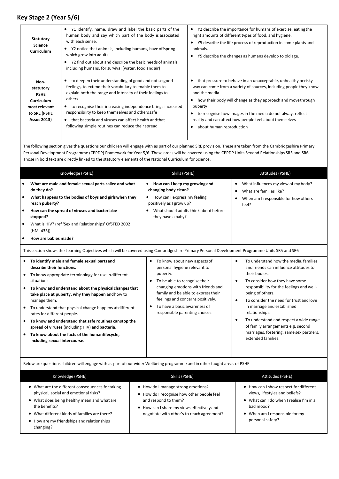### **Key Stage 2 (Year 5/6)**

| <b>Statutory</b><br><b>Science</b><br><b>Curriculum</b>                                               | Y1 identify, name, draw and label the basic parts of the<br>human body and say which part of the body is associated<br>with each sense.<br>Y2 notice that animals, including humans, have offspring<br>which grow into adults<br>Y2 find out about and describe the basic needs of animals,<br>including humans, for survival (water, food and air)                                                                     | Y2 describe the importance for humans of exercise, eating the<br>٠<br>right amounts of different types of food, and hygiene.<br>Y5 describe the life process of reproduction in some plants and<br>animals.<br>Y5 describe the changes as humans develop to old age.                                                                                                                  |
|-------------------------------------------------------------------------------------------------------|-------------------------------------------------------------------------------------------------------------------------------------------------------------------------------------------------------------------------------------------------------------------------------------------------------------------------------------------------------------------------------------------------------------------------|---------------------------------------------------------------------------------------------------------------------------------------------------------------------------------------------------------------------------------------------------------------------------------------------------------------------------------------------------------------------------------------|
| Non-<br>statutory<br><b>PSHE</b><br><b>Curriculum</b><br>most relevant<br>to SRE (PSHE<br>Assoc 2013) | to deepen their understanding of good and not so good<br>feelings, to extend their vocabulary to enable them to<br>explain both the range and intensity of their feelings to<br>others<br>to recognise their increasing independence brings increased<br>responsibility to keep themselves and others safe<br>that bacteria and viruses can affect health and that<br>following simple routines can reduce their spread | that pressure to behave in an unacceptable, unhealthy or risky<br>way can come from a variety of sources, including people they know<br>and the media<br>how their body will change as they approach and move through<br>puberty<br>to recognise how images in the media do not always reflect<br>reality and can affect how people feel about themselves<br>about human reproduction |

The following section gives the questions our children will engage with as part of our planned SRE provision. These are taken from the Cambridgeshire Primary Personal Development Programme (CPPDP) Framework for Year 5/6. These areas will be covered using the CPPDP Units Sexand Relationships SR5 and SR6. Those in bold text are directly linked to the statutory elements of the National Curriculum for Science.

|                                     | Knowledge (PSHE)                                                                                                                                                                                                                                                                                                                                                                                                                                                                                                                                                         | Skills (PSHE)                                                                                                                                                                                                                                                                                                                        | Attitudes (PSHE)                                                                                                                                                                                                                                                                                                                                                                                                                                                                                      |  |
|-------------------------------------|--------------------------------------------------------------------------------------------------------------------------------------------------------------------------------------------------------------------------------------------------------------------------------------------------------------------------------------------------------------------------------------------------------------------------------------------------------------------------------------------------------------------------------------------------------------------------|--------------------------------------------------------------------------------------------------------------------------------------------------------------------------------------------------------------------------------------------------------------------------------------------------------------------------------------|-------------------------------------------------------------------------------------------------------------------------------------------------------------------------------------------------------------------------------------------------------------------------------------------------------------------------------------------------------------------------------------------------------------------------------------------------------------------------------------------------------|--|
| $\bullet$<br>$\bullet$<br>$\bullet$ | What are male and female sexual parts called and what<br>do they do?<br>What happens to the bodies of boys and girls when they<br>reach puberty?<br>How can the spread of viruses and bacteriabe<br>stopped?<br>What is HIV? (ref 'Sex and Relationships' OfSTED 2002<br>(HMI 433))<br>How are babies made?                                                                                                                                                                                                                                                              | • How can I keep my growing and<br>changing body clean?<br>How can I express my feeling<br>$\bullet$<br>positively as I grow up?<br>What should adults think about before<br>they have a baby?                                                                                                                                       | What influences my view of my body?<br>$\bullet$<br>What are families like?<br>٠<br>When am I responsible for how others<br>٠<br>feel?                                                                                                                                                                                                                                                                                                                                                                |  |
|                                     | This section shows the Learning Objectives which will be covered using Cambridgeshire Primary Personal Development Programme Units SR5 and SR6                                                                                                                                                                                                                                                                                                                                                                                                                           |                                                                                                                                                                                                                                                                                                                                      |                                                                                                                                                                                                                                                                                                                                                                                                                                                                                                       |  |
| $\bullet$<br>$\bullet$              | To identify male and female sexual parts and<br>describe their functions.<br>To know appropriate terminology for use indifferent<br>situations.<br>To know and understand about the physical changes that<br>take place at puberty, why they happen and how to<br>manage them.<br>To understand that physical change happens at different<br>rates for different people.<br>To know and understand that safe routines canstop the<br>spread of viruses (including HIV) and bacteria.<br>To know about the facts of the human lifecycle,<br>including sexual intercourse. | To know about new aspects of<br>$\bullet$<br>personal hygiene relevant to<br>puberty.<br>To be able to recognise their<br>$\bullet$<br>changing emotions with friends and<br>family and be able to express their<br>feelings and concerns positively.<br>To have a basic awareness of<br>$\bullet$<br>responsible parenting choices. | To understand how the media, families<br>$\bullet$<br>and friends can influence attitudes to<br>their bodies.<br>To consider how they have some<br>$\bullet$<br>responsibility for the feelings and well-<br>being of others.<br>To consider the need for trust and love<br>$\bullet$<br>in marriage and established<br>relationships.<br>To understand and respect a wide range<br>$\bullet$<br>of family arrangements e.g. second<br>marriages, fostering, same sex partners,<br>extended families. |  |
|                                     | Below are questions children will engage with as part of our wider Wellbeing programme and in other taught areas of PSHE                                                                                                                                                                                                                                                                                                                                                                                                                                                 |                                                                                                                                                                                                                                                                                                                                      |                                                                                                                                                                                                                                                                                                                                                                                                                                                                                                       |  |

| Knowledge (PSHE)                                                                                                                                                                                                                                                      | Skills (PSHE)                                                                                                                                                                                        | Attitudes (PSHE)                                                                                                                                                                       |
|-----------------------------------------------------------------------------------------------------------------------------------------------------------------------------------------------------------------------------------------------------------------------|------------------------------------------------------------------------------------------------------------------------------------------------------------------------------------------------------|----------------------------------------------------------------------------------------------------------------------------------------------------------------------------------------|
| • What are the different consequences for taking<br>physical, social and emotional risks?<br>• What does being healthy mean and what are<br>the benefits?<br>• What different kinds of families are there?<br>• How are my friendships and relationships<br>changing? | • How do I manage strong emotions?<br>• How do I recognise how other people feel<br>and respond to them?<br>• How can I share my views effectively and<br>negotiate with other's to reach agreement? | • How can I show respect for different<br>views, lifestyles and beliefs?<br>• What can I do when I realise I'm in a<br>had mood?<br>• When am I responsible for my<br>personal safety? |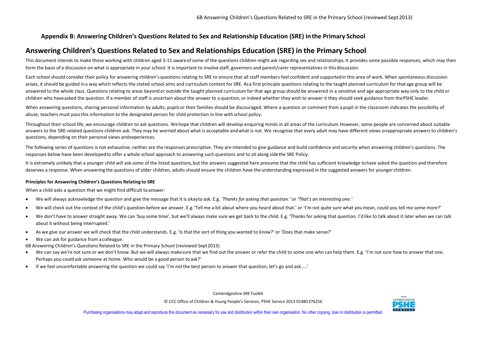### **Appendix B: Answering Children's Questions Related to Sex and Relationship Education (SRE) inthe Primary School**

### **Answering Children's Questions Related to Sex and Relationships Education (SRE) in the Primary School**

This document intends to make those working with children aged 3-11 aware of some of the questions children might ask regarding sex and relationships. It provides some possible responses, which may then form the basis of a discussion on what is appropriate in your school. It is important to involve staff, governors and parent/carer representatives in this discussion.

Each school should consider their policy for answering children's questions relating to SRE to ensure that all staff members feel confident and supported in this area of work. When spontaneous discussion arises, it should be guided ina way which reflects the stated school aims and curriculum content for SRE. Asa first principle questions relating to the taught planned curriculum for that age group will be answered to the whole class. Questions relating to areas beyond or outside the taught planned curriculum for that age group should be answered in a sensitive and age appropriate way only to the child or children who haveasked the question. If a member of staff is uncertain about the answer to a question, or indeed whether they wish to answer it they should seek guidance from thePSHE leader.

When answering questions, sharing personal information by adults, pupils or their families should be discouraged. Where a question or comment from a pupil in the classroom indicates the possibility of abuse, teachers must passthis information to the designated person for child protection in line with school policy.

Throughout their school life, we encourage children to ask questions. Wehope that children will develop enquiring minds in all areas of the curriculum.However, some people are concerned about suitable answers to the SRE-related questions children ask. They may be worried about what is acceptable and what is not. We recognise that every adult may have different views onappropriate answers to children's questions, depending on their personal views andexperiences.

The following series of questions is not exhaustive, neither are the responses prescriptive. They are intended to give guidance and build confidence and security when answering children's questions. The responses below have been developedto offer a whole school approach to answering such questions and to sit along sidethe SRE Policy.

It is extremely unlikely that a younger child will ask some of the listed questions, but the answers suggested here presume that the child has sufficient knowledge to have asked the question and therefore deserves a response. When answering the questions of older children, adults should ensure the children have the understanding expressed in the suggested answers for younger children.

#### **Principles for Answering Children's Questions Relating to SRE**

When a child asks a question that we might find difficult to answer:

- We will always acknowledge the question and give the message that it is okayto ask. E.g. *'Thanks for asking that question.'* or *'That's an interesting one.'*
- We will check out the context of the child's question before we answer. E.g.'Tell me a bit about where you heard about that.' or 'I'm not quite sure what youmean, could you tell me some more?'
- We don't have to answer straight away. We can 'buy some time', but we'll always make sure we get back to the child. E.g. 'Thanks for asking that question. I'd like to talk about it later when we can talk about it without being interrupted.'
- As we give our answer we will check that the child understands. E.g. 'Is thatthe sort of thing you wanted to know?' or 'Does that make sense?'

We can ask for guidance from acolleague.

6B Answering Children's Questions Related to SRE in the Primary School (reviewed Sept2013)

- We can say we're not sure or we don't know. But we will always makesure that we find out the answer or refer the child to some one who can help them. E.g. 'I'm not sure how to answer that one. Perhaps you could ask someone at home. Who would be a good person to ask?'
- If we feel uncomfortable answering the question we could say 'I'm not the best person to answer that question, let's go and ask…..'

Cambridgeshire SRE Toolkit

© CCC Office of Children & Young People's Services, PSHE Service 2013 01480 376256

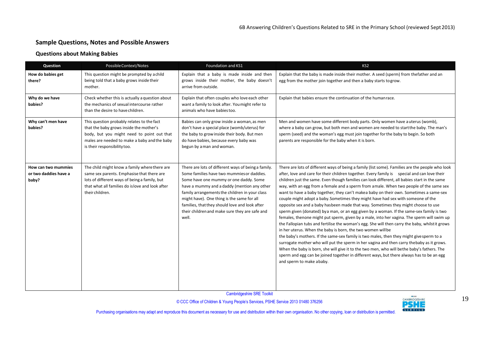### **Sample Questions, Notes and Possible Answers**

#### **Questions about Making Babies**

| Question                                              | Possible Context/Notes                                                                                                                                                                                              | Foundation and KS1                                                                                                                                                                                                                                                                                                                                                                                      | KS <sub>2</sub>                                                                                                                                                                                                                                                                                                                                                                                                                                                                                                                                                                                                                                                                                                                                                                                                                                                                                                                                                                                                                                                                                                                                                                                                                                                                                                                                                                                                                            |
|-------------------------------------------------------|---------------------------------------------------------------------------------------------------------------------------------------------------------------------------------------------------------------------|---------------------------------------------------------------------------------------------------------------------------------------------------------------------------------------------------------------------------------------------------------------------------------------------------------------------------------------------------------------------------------------------------------|--------------------------------------------------------------------------------------------------------------------------------------------------------------------------------------------------------------------------------------------------------------------------------------------------------------------------------------------------------------------------------------------------------------------------------------------------------------------------------------------------------------------------------------------------------------------------------------------------------------------------------------------------------------------------------------------------------------------------------------------------------------------------------------------------------------------------------------------------------------------------------------------------------------------------------------------------------------------------------------------------------------------------------------------------------------------------------------------------------------------------------------------------------------------------------------------------------------------------------------------------------------------------------------------------------------------------------------------------------------------------------------------------------------------------------------------|
| How do babies get<br>there?                           | This question might be prompted by a child<br>being told that a baby grows inside their<br>mother.                                                                                                                  | Explain that a baby is made inside and then<br>grows inside their mother, the baby doesn't<br>arrive from outside.                                                                                                                                                                                                                                                                                      | Explain that the baby is made inside their mother. A seed (sperm) from thefather and an<br>egg from the mother join together and then a baby starts togrow.                                                                                                                                                                                                                                                                                                                                                                                                                                                                                                                                                                                                                                                                                                                                                                                                                                                                                                                                                                                                                                                                                                                                                                                                                                                                                |
| Why do we have<br>babies?                             | Check whether this is actually a question about<br>the mechanics of sexual intercourse rather<br>than the desire to have children.                                                                                  | Explain that often couples who love each other<br>want a family to look after. You might refer to<br>animals who have babies too.                                                                                                                                                                                                                                                                       | Explain that babies ensure the continuation of the humanrace.                                                                                                                                                                                                                                                                                                                                                                                                                                                                                                                                                                                                                                                                                                                                                                                                                                                                                                                                                                                                                                                                                                                                                                                                                                                                                                                                                                              |
| Why can't men have<br>babies?                         | This question probably relates to the fact<br>that the baby grows inside the mother's<br>body, but you might need to point out that<br>males are needed to make a baby and the baby<br>is their responsibility too. | Babies can only grow inside a woman, as men<br>don't have a special place (womb/uterus) for<br>the baby to grow inside their body. But men<br>do have babies, because every baby was<br>begun by a man and woman.                                                                                                                                                                                       | Men and women have some different body parts. Only women have auterus (womb),<br>where a baby can grow, but both men and women are needed to start the baby. The man's<br>sperm (seed) and the woman's egg must join together for the baby to begin. So both<br>parents are responsible for the baby when it is born.                                                                                                                                                                                                                                                                                                                                                                                                                                                                                                                                                                                                                                                                                                                                                                                                                                                                                                                                                                                                                                                                                                                      |
| How can two mummies<br>or two daddies have a<br>baby? | The child might know a family where there are<br>same sex parents. Emphasise that there are<br>lots of different ways of being a family, but<br>that what all families do is love and look after<br>their children. | There are lots of different ways of being a family.<br>Some families have two mummies or daddies.<br>Some have one mummy or one daddy. Some<br>have a mummy and a daddy (mention any other<br>family arrangements the children in your class<br>might have). One thing is the same for all<br>families, that they should love and look after<br>their children and make sure they are safe and<br>well. | There are lots of different ways of being a family (list some). Families are the people who look<br>after, love and care for their children together. Every family is special and can love their<br>children just the same. Even though families can look different, all babies start in the same<br>way, with an egg from a female and a sperm from amale. When two people of the same sex<br>want to have a baby together, they can't makea baby on their own. Sometimes a same-sex<br>couple might adopt a baby. Sometimes they might have had sex with someone of the<br>opposite sex and a baby hasbeen made that way. Sometimes they might choose to use<br>sperm given (donated) by a man, or an egg given by a woman. If the same-sex family is two<br>females, thenone might put sperm, given by a male, into her vagina. The sperm will swim up<br>the Fallopian tubs and fertilise the woman's egg. She will then carry the baby, whilstit grows<br>in her uterus. When the baby is born, the two women will be<br>the baby's mothers. If the same-sex family is two males, then they might give sperm to a<br>surrogate mother who will put the sperm in her vagina and then carry thebaby as it grows.<br>When the baby is born, she will give it to the two men, who will bethe baby's fathers. The<br>sperm and egg can be joined together in different ways, but there always has to be an egg<br>and sperm to make ababy. |

Cambridgeshire SRE Toolkit

Cambridgeshire SKE Toolkit<br>© CCC Office of Children & Young People's Services, PSHE Service 2013 01480 376256 CAMBRIDGESHIRE<br>Luce this document as necessary for use and distribution within their own organisation. No other

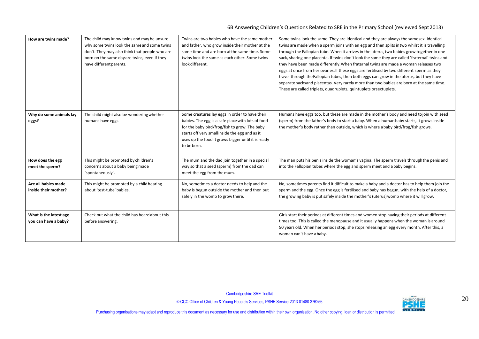#### 6B Answering Children's Questions Related to SRE in the Primary School (reviewed Sept2013)

| How are twins made?                            | The child may know twins and may be unsure<br>why some twins look the same and some twins<br>don't. They may also think that people who are<br>born on the same day are twins, even if they<br>have different parents. | Twins are two babies who have the same mother<br>and father, who grow inside their mother at the<br>same time and are born at the same time. Some<br>twins look the same as each other: Some twins<br>look different.                                                      | Some twins look the same. They are identical and they are always the samesex. Identical<br>twins are made when a sperm joins with an egg and then splits in two whilst it is travelling<br>through the Fallopian tube. When it arrives in the uterus, two babies grow together in one<br>sack, sharing one placenta. If twins don't look the same they are called 'fraternal' twins and<br>they have been made differently. When fraternal twins are made a woman releases two<br>eggs at once from her ovaries. If these eggs are fertilised by two different sperm as they<br>travel through the Fallopian tubes, then both eggs can grow in the uterus, but they have<br>separate sacks and placentas. Very rarely more than two babies are born at the same time.<br>These are called triplets, quadruplets, quintuplets orsextuplets. |
|------------------------------------------------|------------------------------------------------------------------------------------------------------------------------------------------------------------------------------------------------------------------------|----------------------------------------------------------------------------------------------------------------------------------------------------------------------------------------------------------------------------------------------------------------------------|--------------------------------------------------------------------------------------------------------------------------------------------------------------------------------------------------------------------------------------------------------------------------------------------------------------------------------------------------------------------------------------------------------------------------------------------------------------------------------------------------------------------------------------------------------------------------------------------------------------------------------------------------------------------------------------------------------------------------------------------------------------------------------------------------------------------------------------------|
| Why do some animals lay<br>eggs?               | The child might also be wondering whether<br>humans have eggs.                                                                                                                                                         | Some creatures lay eggs in order to have their<br>babies. The egg is a safe place with lots of food<br>for the baby bird/frog/fish to grow. The baby<br>starts off very smallinside the egg and as it<br>uses up the food it grows bigger until it is ready<br>to be born. | Humans have eggs too, but these are made in the mother's body and need tojoin with seed<br>(sperm) from the father's body to start a baby. When a human baby starts, it grows inside<br>the mother's body rather than outside, which is where a baby bird/frog/fish grows.                                                                                                                                                                                                                                                                                                                                                                                                                                                                                                                                                                 |
| How does the egg<br>meet the sperm?            | This might be prompted by children's<br>concerns about a baby being made<br>'spontaneously'.                                                                                                                           | The mum and the dad join together in a special<br>way so that a seed (sperm) from the dad can<br>meet the egg from the mum.                                                                                                                                                | The man puts his penis inside the woman's vagina. The sperm travels through the penis and<br>into the Fallopian tubes where the egg and sperm meet and a baby begins.                                                                                                                                                                                                                                                                                                                                                                                                                                                                                                                                                                                                                                                                      |
| Are all babies made<br>inside their mother?    | This might be prompted by a child hearing<br>about 'test-tube' babies.                                                                                                                                                 | No, sometimes a doctor needs to help and the<br>baby is begun outside the mother and then put<br>safely in the womb to grow there.                                                                                                                                         | No, sometimes parents find it difficult to make a baby and a doctor has to help them join the<br>sperm and the egg. Once the egg is fertilised and baby has begun, with the help of a doctor,<br>the growing baby is put safely inside the mother's (uterus) womb where it will grow.                                                                                                                                                                                                                                                                                                                                                                                                                                                                                                                                                      |
| What is the latest age<br>you can have a baby? | Check out what the child has heard about this<br>before answering.                                                                                                                                                     |                                                                                                                                                                                                                                                                            | Girls start their periods at different times and women stop having their periods at different<br>times too. This is called the menopause and it usually happens when the woman is around<br>50 years old. When her periods stop, she stops releasing an egg every month. After this, a<br>woman can't have a baby.                                                                                                                                                                                                                                                                                                                                                                                                                                                                                                                         |

Cambridgeshire SRE Toolkit

COCC Office of Children & Young People's Services, PSHE Service 2013 01480 376256 2013 20 COCC Office of Children & Young People's Services, PSHE Service 2013 01480 376256 2013 20 CANGE CANGE CANGE CONTINUES.

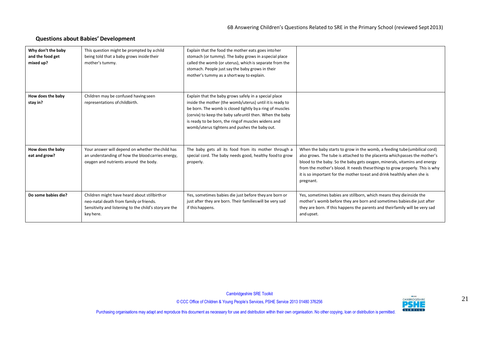### **Questions about Babies' Development**

| Why don't the baby<br>and the food get<br>mixed up? | This question might be prompted by a child<br>being told that a baby grows inside their<br>mother's tummy.                                                      | Explain that the food the mother eats goes into her<br>stomach (or tummy). The baby grows in aspecial place<br>called the womb (or uterus), which is separate from the<br>stomach. People just say the baby grows in their<br>mother's tummy as a short way to explain.                                                                           |                                                                                                                                                                                                                                                                                                                                                                                                               |
|-----------------------------------------------------|-----------------------------------------------------------------------------------------------------------------------------------------------------------------|---------------------------------------------------------------------------------------------------------------------------------------------------------------------------------------------------------------------------------------------------------------------------------------------------------------------------------------------------|---------------------------------------------------------------------------------------------------------------------------------------------------------------------------------------------------------------------------------------------------------------------------------------------------------------------------------------------------------------------------------------------------------------|
| How does the baby<br>stay in?                       | Children may be confused having seen<br>representations of childbirth.                                                                                          | Explain that the baby grows safely in a special place<br>inside the mother (the womb/uterus) until it is ready to<br>be born. The womb is closed tightly by a ring of muscles<br>(cervix) to keep the baby safe until then. When the baby<br>is ready to be born, the ring of muscles widens and<br>womb/uterus tightens and pushes the baby out. |                                                                                                                                                                                                                                                                                                                                                                                                               |
| How does the baby<br>eat and grow?                  | Your answer will depend on whether the child has<br>an understanding of how the blood carries energy,<br>oxygen and nutrients around the body.                  | The baby gets all its food from its mother through a<br>special cord. The baby needs good, healthy food to grow<br>properly.                                                                                                                                                                                                                      | When the baby starts to grow in the womb, a feeding tube (umbilical cord)<br>also grows. The tube is attached to the placenta which passes the mother's<br>blood to the baby. So the baby gets oxygen, minerals, vitamins and energy<br>from the mother's blood. It needs these things to grow properly. This is why<br>it is so important for the mother to eat and drink healthily when she is<br>pregnant. |
| Do some babies die?                                 | Children might have heard about stillbirth or<br>neo-natal death from family or friends.<br>Sensitivity and listening to the child's story are the<br>key here. | Yes, sometimes babies die just before they are born or<br>just after they are born. Their families will be very sad<br>if this happens.                                                                                                                                                                                                           | Yes, sometimes babies are stillborn, which means they dieinside the<br>mother's womb before they are born and sometimes babies die just after<br>they are born. If this happens the parents and theirfamily will be very sad<br>and upset.                                                                                                                                                                    |

Cambridgeshire SRE Toolkit

COCC Office of Children & Young People's Services, PSHE Service 2013 01480 376256 213 201480 276256 211 21 21<br>Luce this document as necessary for use and distribution within their own organisation. No other conving Joan or

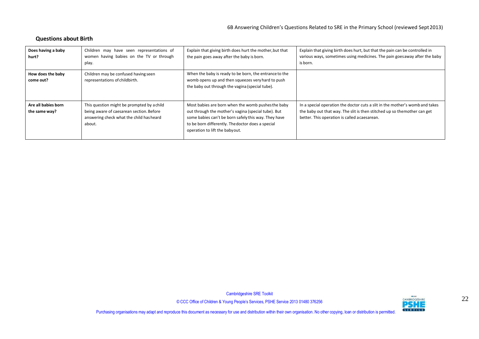### **Questions about Birth**

| Does having a baby<br>hurt?          | Children may have seen representations of<br>women having babies on the TV or through<br>play.                                               | Explain that giving birth does hurt the mother, but that<br>the pain goes away after the baby is born.                                                                                                                                                   | Explain that giving birth does hurt, but that the pain can be controlled in<br>various ways, sometimes using medicines. The pain goes away after the baby<br>is born.                                     |
|--------------------------------------|----------------------------------------------------------------------------------------------------------------------------------------------|----------------------------------------------------------------------------------------------------------------------------------------------------------------------------------------------------------------------------------------------------------|-----------------------------------------------------------------------------------------------------------------------------------------------------------------------------------------------------------|
| How does the baby<br>come out?       | Children may be confused having seen<br>representations of childbirth.                                                                       | When the baby is ready to be born, the entrance to the<br>womb opens up and then squeezes very hard to push<br>the baby out through the vagina (special tube).                                                                                           |                                                                                                                                                                                                           |
| Are all babies born<br>the same way? | This question might be prompted by a child<br>being aware of caesarean section. Before<br>answering check what the child has heard<br>about. | Most babies are born when the womb pushes the baby<br>out through the mother's vagina (special tube). But<br>some babies can't be born safely this way. They have<br>to be born differently. The doctor does a special<br>operation to lift the babyout. | In a special operation the doctor cuts a slit in the mother's womb and takes<br>the baby out that way. The slit is then stitched up so themother can get<br>better. This operation is called a caesarean. |

Cambridgeshire SRE Toolkit

Cambridgeshire SKE TOOIKIT<br>© CCC Office of Children & Young People's Services, PSHE Service 2013 01480 376256 22<br>Luce this document as necessary for use and distribution within their own organisation. No other conving Joan

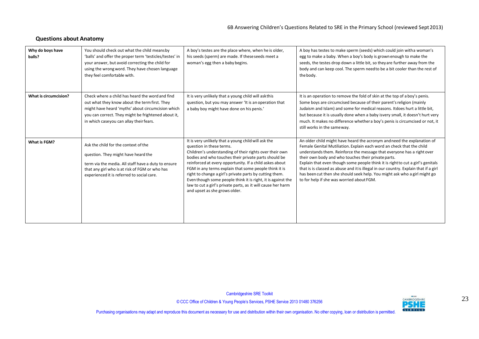### **Questions about Anatomy**

| Why do boys have<br>balls? | You should check out what the child meansby<br>'balls' and offer the proper term 'testicles/testes' in<br>your answer, but avoid correcting the child for<br>using the wrong word. They have chosen language<br>they feel comfortable with.             | A boy's testes are the place where, when he is older,<br>his seeds (sperm) are made. If theseseeds meet a<br>woman's egg then a baby begins.                                                                                                                                                                                                                                                                                                                                                                                                       | A boy has testes to make sperm (seeds) which could join with a woman's<br>egg to make a baby. When a boy's body is grown enough to make the<br>seeds, the testes drop down a little bit, so they are further away from the<br>body and can keep cool. The sperm need to be a bit cooler than the rest of<br>the body.                                                                                                                                                                                                                                                                  |
|----------------------------|---------------------------------------------------------------------------------------------------------------------------------------------------------------------------------------------------------------------------------------------------------|----------------------------------------------------------------------------------------------------------------------------------------------------------------------------------------------------------------------------------------------------------------------------------------------------------------------------------------------------------------------------------------------------------------------------------------------------------------------------------------------------------------------------------------------------|----------------------------------------------------------------------------------------------------------------------------------------------------------------------------------------------------------------------------------------------------------------------------------------------------------------------------------------------------------------------------------------------------------------------------------------------------------------------------------------------------------------------------------------------------------------------------------------|
| What is circumcision?      | Check where a child has heard the word and find<br>out what they know about the term first. They<br>might have heard 'myths' about circumcision which<br>you can correct. They might be frightened about it,<br>in which caseyou can allay their fears. | It is very unlikely that a young child will askthis<br>question, but you may answer 'It is an operation that<br>a baby boy might have done on his penis.'                                                                                                                                                                                                                                                                                                                                                                                          | It is an operation to remove the fold of skin at the top of a boy's penis.<br>Some boys are circumcised because of their parent's religion (mainly<br>Judaism and Islam) and some for medical reasons. It does hurt a little bit,<br>but because it is usually done when a baby isvery small, it doesn't hurt very<br>much. It makes no difference whether a boy's penis is circumcised or not, it<br>still works in the same way.                                                                                                                                                     |
| What is FGM?               | Ask the child for the context of the<br>question. They might have heard the<br>term via the media. All staff have a duty to ensure<br>that any girl who is at risk of FGM or who has<br>experienced it is referred to social care.                      | It is very unlikely that a young child will ask the<br>question in these terms.<br>Children's understanding of their rights over their own<br>bodies and who touches their private parts should be<br>reinforced at every opportunity. If a child askes about<br>FGM in any terms explain that some people think it is<br>right to change a girl's private parts by cutting them.<br>Even though some people think it is right, it is against the<br>law to cut a girl's private parts, as it will cause her harm<br>and upset as she grows older. | An older child might have heard the acronym and need the explanation of<br>Female Genital Mutiliation. Explain each word an check that the child<br>understands them. Reinforce the message that everyone has a right over<br>their own body and who touches their private parts.<br>Explain that even though some people think it is right to cut a girl's genitals<br>that is is classed as abuse and it is illegal in our country. Explain that if a girl<br>has been cut then she should seek help. You might ask who a girl might go<br>to for help if she was worried about FGM. |

Cambridgeshire SRE Toolkit

© CCC Office of Children & Young People's Services, PSHE Service 2013 01480 376256 23

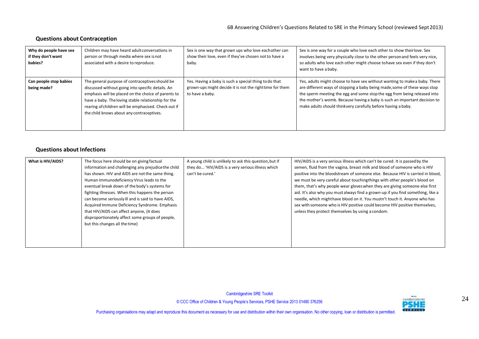### **Questions about Contraception**

| Why do people have sex<br>if they don't want<br>babies? | Children may have heard adult conversations in<br>person or through media where sex is not<br>associated with a desire to reproduce.                                                                                                                                                                                    | Sex is one way that grown ups who love each other can<br>show their love, even if they've chosen not to have a<br>baby.             | Sex is one way for a couple who love each other to show theirlove. Sex<br>involves being very physically close to the other person and feels very nice,<br>so adults who love each other might choose to have sex even if they don't<br>want to have a baby.                                                                                                                     |
|---------------------------------------------------------|-------------------------------------------------------------------------------------------------------------------------------------------------------------------------------------------------------------------------------------------------------------------------------------------------------------------------|-------------------------------------------------------------------------------------------------------------------------------------|----------------------------------------------------------------------------------------------------------------------------------------------------------------------------------------------------------------------------------------------------------------------------------------------------------------------------------------------------------------------------------|
| Can people stop babies<br>being made?                   | The general purpose of contraceptives should be<br>discussed without going into specific details. An<br>emphasis will be placed on the choice of parents to<br>have a baby. The loving stable relationship for the<br>rearing of children will be emphasised. Check out if<br>the child knows about any contraceptives. | Yes. Having a baby is such a special thing to do that<br>grown-ups might decide it is not the righttime for them<br>to have a baby. | Yes, adults might choose to have sex without wanting to make a baby. There<br>are different ways of stopping a baby being made, some of these ways stop<br>the sperm meeting the egg and some stop the egg from being released into<br>the mother's womb. Because having a baby is such an important decision to<br>make adults should thinkvery carefully before having a baby. |

### **Questions about Infections**

| What is HIV/AIDS? | The focus here should be on giving factual<br>information and challenging any prejudice the child<br>has shown. HIV and AIDS are not the same thing.<br>Human Immunodeficiency Virus leads to the<br>eventual break down of the body's systems for<br>fighting illnesses. When this happens the person<br>can become seriously ill and is said to have AIDS,<br>Acquired Immune Deficiency Syndrome. Emphasis<br>that HIV/AIDS can affect anyone, (it does<br>disproportionately affect some groups of people,<br>but this changes all the time) | A young child is unlikely to ask this question, but if<br>they do 'HIV/AIDS is a very serious illness which<br>can't be cured.' | HIV/AIDS is a very serious illness which can't be cured. It is passed by the<br>semen, fluid from the vagina, breast milk and blood of someone who is HIV<br>positive into the bloodstream of someone else. Because HIV is carried in blood,<br>we must be very careful about touching things with other people's blood on<br>them, that's why people wear gloves when they are giving someone else first<br>aid. It's also why you must always find a grown-up if you find something, like a<br>needle, which might have blood on it. You mustn't touch it. Anyone who has<br>sex with someone who is HIV positive could become HIV positive themselves,<br>unless they protect themselves by using a condom. |
|-------------------|--------------------------------------------------------------------------------------------------------------------------------------------------------------------------------------------------------------------------------------------------------------------------------------------------------------------------------------------------------------------------------------------------------------------------------------------------------------------------------------------------------------------------------------------------|---------------------------------------------------------------------------------------------------------------------------------|----------------------------------------------------------------------------------------------------------------------------------------------------------------------------------------------------------------------------------------------------------------------------------------------------------------------------------------------------------------------------------------------------------------------------------------------------------------------------------------------------------------------------------------------------------------------------------------------------------------------------------------------------------------------------------------------------------------|
|                   |                                                                                                                                                                                                                                                                                                                                                                                                                                                                                                                                                  |                                                                                                                                 |                                                                                                                                                                                                                                                                                                                                                                                                                                                                                                                                                                                                                                                                                                                |

Cambridgeshire SRE Toolkit

COCC Office of Children & Young People's Services, PSHE Service 2013 01480 376256 2013 201480 2013 24

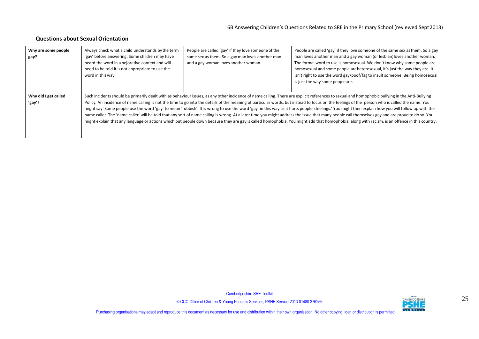### **Questions about Sexual Orientation**

| Why are some people<br>gay?    | Always check what a child understands by the term<br>'gay' before answering. Some children may have<br>heard the word in a pejorative context and will<br>need to be told it is not appropriate to use the<br>word in this way.                                                                                                                                                                                                                                                                                                                                                                                                                                                                                                                                                                                                                                                                                                                                                                            | People are called 'gay' if they love someone of the<br>same sex as them. So a gay man loves another man<br>and a gay woman loves another woman. | People are called 'gay' if they love someone of the same sex as them. So a gay<br>man loves another man and a gay woman (or lesbian) loves another woman.<br>The formal word to use is homosexual. We don't know why some people are<br>homosexual and some people areheterosexual, it's just the way they are. It<br>isn't right to use the word gay/poof/fag to insult someone. Being homosexual<br>is just the way some peopleare. |
|--------------------------------|------------------------------------------------------------------------------------------------------------------------------------------------------------------------------------------------------------------------------------------------------------------------------------------------------------------------------------------------------------------------------------------------------------------------------------------------------------------------------------------------------------------------------------------------------------------------------------------------------------------------------------------------------------------------------------------------------------------------------------------------------------------------------------------------------------------------------------------------------------------------------------------------------------------------------------------------------------------------------------------------------------|-------------------------------------------------------------------------------------------------------------------------------------------------|---------------------------------------------------------------------------------------------------------------------------------------------------------------------------------------------------------------------------------------------------------------------------------------------------------------------------------------------------------------------------------------------------------------------------------------|
| Why did I get called<br>'gay'? | Such incidents should be primarily dealt with as behaviour issues, as any other incidence of name calling. There are explicit references to sexual and homophobic bullying in the Anti-Bullying<br>Policy. An incidence of name calling is not the time to go into the details of the meaning of particular words, but instead to focus on the feelings of the person who is called the name. You<br>might say 'Some people use the word 'gay' to mean 'rubbish'. It is wrong to use the word 'gay' in this way as it hurts people's feelings.' You might then explain how you will follow up with the<br>name caller. The 'name caller' will be told that any sort of name calling is wrong. At a later time you might address the issue that many people call themselves gay and are proud to do so. You<br>might explain that any language or actions which put people down because they are gay is called homophobia. You might add that homophobia, along with racism, is an offence in this country. |                                                                                                                                                 |                                                                                                                                                                                                                                                                                                                                                                                                                                       |

Cambridgeshire SRE Toolkit

© CCC Office of Children & Young People's Services, PSHE Service 2013 01480 376256 25

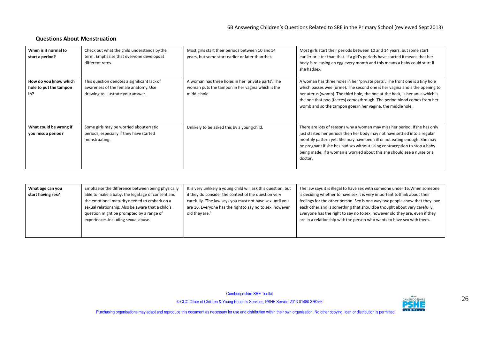### **Questions About Menstruation**

| When is it normal to<br>start a period?                | Check out what the child understands by the<br>term. Emphasise that everyone develops at<br>different rates.              | Most girls start their periods between 10 and 14<br>years, but some start earlier or later than that.                   | Most girls start their periods between 10 and 14 years, but some start<br>earlier or later than that. If a girl's periods have started it means that her<br>body is releasing an egg every month and this means a baby could start if<br>she hadsex.                                                                                                                                                     |
|--------------------------------------------------------|---------------------------------------------------------------------------------------------------------------------------|-------------------------------------------------------------------------------------------------------------------------|----------------------------------------------------------------------------------------------------------------------------------------------------------------------------------------------------------------------------------------------------------------------------------------------------------------------------------------------------------------------------------------------------------|
| How do you know which<br>hole to put the tampon<br>in? | This question denotes a significant lack of<br>awareness of the female anatomy. Use<br>drawing to illustrate your answer. | A woman has three holes in her 'private parts'. The<br>woman puts the tampon in her vagina which is the<br>middle hole. | A woman has three holes in her 'private parts'. The front one is a tiny hole<br>which passes wee (urine). The second one is her vagina andis the opening to<br>her uterus (womb). The third hole, the one at the back, is her anus which is<br>the one that poo (faeces) comesthrough. The period blood comes from her<br>womb and so the tampon goes in her vagina, the middle hole.                    |
| What could be wrong if<br>you miss a period?           | Some girls may be worried about erratic<br>periods, especially if they have started<br>menstruating.                      | Unlikely to be asked this by a young child.                                                                             | There are lots of reasons why a woman may miss her period. If she has only<br>just started her periods then her body may not have settled into a regular<br>monthly pattern yet. She may have been ill or not eating enough. She may<br>be pregnant if she has had sex without using contraception to stop a baby<br>being made. If a woman is worried about this she should see a nurse or a<br>doctor. |

| What age can you<br>start having sex? | Emphasise the difference between being physically<br>able to make a baby, the legal age of consent and<br>the emotional maturity needed to embark on a<br>sexual relationship. Also be aware that a child's<br>question might be prompted by a range of<br>experiences, including sexual abuse. | It is very unlikely a young child will ask this question, but<br>if they do consider the context of the question very<br>carefully. 'The law says you must not have sex until you<br>are 16. Everyone has the rightto say no to sex, however<br>old they are.' | The law says it is illegal to have sex with someone under 16. When someone<br>is deciding whether to have sex it is very important tothink about their<br>feelings for the other person. Sex is one way two people show that they love<br>each other and is something that should be thought about very carefully.<br>Everyone has the right to say no to sex, however old they are, even if they<br>are in a relationship with the person who wants to have sex with them. |
|---------------------------------------|-------------------------------------------------------------------------------------------------------------------------------------------------------------------------------------------------------------------------------------------------------------------------------------------------|----------------------------------------------------------------------------------------------------------------------------------------------------------------------------------------------------------------------------------------------------------------|-----------------------------------------------------------------------------------------------------------------------------------------------------------------------------------------------------------------------------------------------------------------------------------------------------------------------------------------------------------------------------------------------------------------------------------------------------------------------------|
|---------------------------------------|-------------------------------------------------------------------------------------------------------------------------------------------------------------------------------------------------------------------------------------------------------------------------------------------------|----------------------------------------------------------------------------------------------------------------------------------------------------------------------------------------------------------------------------------------------------------------|-----------------------------------------------------------------------------------------------------------------------------------------------------------------------------------------------------------------------------------------------------------------------------------------------------------------------------------------------------------------------------------------------------------------------------------------------------------------------------|

Cambridgeshire SRE Toolkit

© CCC Office of Children & Young People's Services, PSHE Service 2013 01480 376256 26

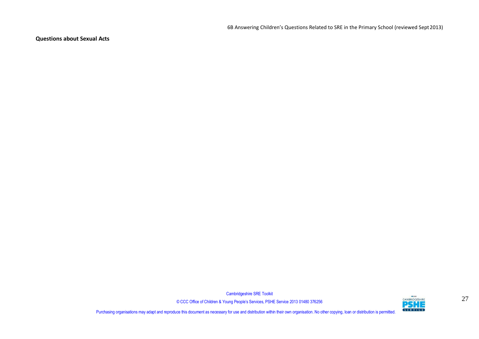6B Answering Children's Questions Related to SRE in the Primary School (reviewed Sept2013)

**Questions about Sexual Acts**

Cambridgeshire SRE Toolkit

© CCC Office of Children & Young People's Services, PSHE Service 2013 01480 376256 27

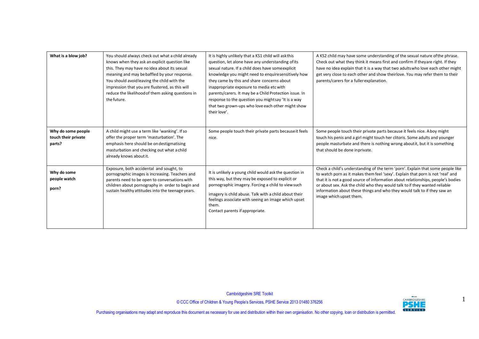| What is a blow job?                                 | You should always check out what a child already<br>knows when they ask an explicit question like<br>this. They may have no idea about its sexual<br>meaning and may be baffled by your response.<br>You should avoid leaving the child with the<br>impression that you are flustered, as this will<br>reduce the likelihood of them asking questions in<br>the future. | It is highly unlikely that a KS1 child will ask this<br>question, let alone have any understanding of its<br>sexual nature. If a child does have some explicit<br>knowledge you might need to enquiresensitively how<br>they came by this and share concerns about<br>inappropriate exposure to media etc with<br>parents/carers. It may be a Child Protection issue. In<br>response to the question you mightsay 'It is a way<br>that two grown-ups who love each other might show<br>their love'. | A KS2 child may have some understanding of the sexual nature of the phrase.<br>Check out what they think it means first and confirm if theyare right. If they<br>have no idea explain that it is a way that two adults who love each other might<br>get very close to each other and show theirlove. You may refer them to their<br>parents/carers for a fuller explanation.                                                                |
|-----------------------------------------------------|-------------------------------------------------------------------------------------------------------------------------------------------------------------------------------------------------------------------------------------------------------------------------------------------------------------------------------------------------------------------------|-----------------------------------------------------------------------------------------------------------------------------------------------------------------------------------------------------------------------------------------------------------------------------------------------------------------------------------------------------------------------------------------------------------------------------------------------------------------------------------------------------|---------------------------------------------------------------------------------------------------------------------------------------------------------------------------------------------------------------------------------------------------------------------------------------------------------------------------------------------------------------------------------------------------------------------------------------------|
| Why do some people<br>touch their private<br>parts? | A child might use a term like 'wanking'. If so<br>offer the proper term 'masturbation'. The<br>emphasis here should be on destigmatising<br>masturbation and checking out what a child<br>already knows about it.                                                                                                                                                       | Some people touch their private parts because it feels<br>nice.                                                                                                                                                                                                                                                                                                                                                                                                                                     | Some people touch their private parts because it feels nice. Aboy might<br>touch his penis and a girl might touch her clitoris. Some adults and younger<br>people masturbate and there is nothing wrong about it, but it is something<br>that should be done inprivate.                                                                                                                                                                     |
| Why do some<br>people watch<br>porn?                | Exposure, both accidental and sought, to<br>pornographic images is increasing. Teachers and<br>parents need to be open to conversations with<br>children about pornography in order to begin and<br>sustain healthy attitudes into the teenage years.                                                                                                                   | It is unlikely a young child would ask the question in<br>this way, but they may be exposed to explicit or<br>pornographic imagery. Forcing a child to view such<br>imagery is child abuse. Talk with a child about their<br>feelings associate with seeing an image which upset<br>them.<br>Contact parents if appropriate.                                                                                                                                                                        | Check a child's understanding of the term 'porn'. Explain that some people like<br>to watch porn as it makes them feel 'sexy'. Explain that porn is not 'real' and<br>that it is not a good source of information about relationships, people's bodies<br>or about sex. Ask the child who they would talk to if they wanted reliable<br>information about these things and who they would talk to if they saw an<br>image which upset them. |

Cambridgeshire SRE Toolkit

CAMBRIDGESHIRE<br>© CCC Office of Children & Young People's Services, PSHE Service 2013 01480 376256 CAMBRIDGESHIRE<br>Luce this document as necessary for use and distribution within their own organisation. No other conving, Joa